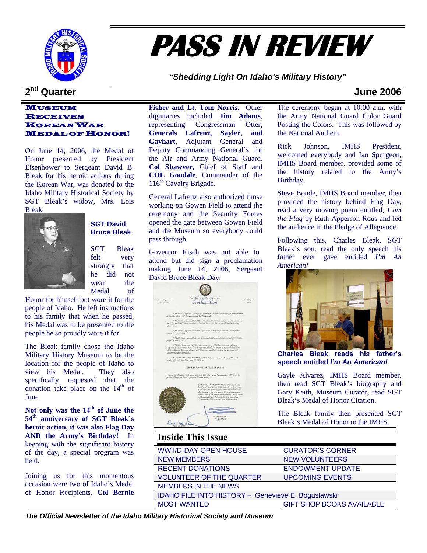

# **PASS IN REVIEW**

*"Shedding Light On Idaho's Military History"* 

### MUSEUM RECEIVES KOREAN WAR MEDAL OF HONOR!

On June 14, 2006, the Medal of Honor presented by President Eisenhower to Sergeant David B. Bleak for his heroic actions during the Korean War, was donated to the Idaho Military Historical Society by SGT Bleak's widow, Mrs. Lois Bleak.



### **SGT David Bruce Bleak**

SGT Bleak felt very strongly that he did not wear the Medal of

Honor for himself but wore it for the people of Idaho. He left instructions to his family that when he passed, his Medal was to be presented to the people he so proudly wore it for.

The Bleak family chose the Idaho Military History Museum to be the location for the people of Idaho to view his Medal. They also specifically requested that the donation take place on the  $14<sup>th</sup>$  of June.

**Not only was the 14th of June the 54th anniversary of SGT Bleak's heroic action, it was also Flag Day AND the Army's Birthday!** In keeping with the significant history of the day, a special program was held.

Joining us for this momentous occasion were two of Idaho's Medal of Honor Recipients, **Col Bernie**  **Fisher and Lt. Tom Norris.** Other dignitaries included **Jim Adams**, representing Congressman Otter, **Generals Lafrenz, Sayler, and Gayhart**, Adjutant General and Deputy Commanding General's for the Air and Army National Guard, **Col Shawver,** Chief of Staff and **COL Goodale**, Commander of the 116<sup>th</sup> Cavalry Brigade.

General Lafrenz also authorized those working on Gowen Field to attend the ceremony and the Security Forces opened the gate between Gowen Field and the Museum so everybody could pass through.

Governor Risch was not able to attend but did sign a proclamation making June 14, 2006, Sergeant David Bruce Bleak Day.



# **Inside This Issue**

| THRIGG THIS ISSUE                                  |                                  |  |
|----------------------------------------------------|----------------------------------|--|
| <b>WWII/D-DAY OPEN HOUSE</b>                       | <b>CURATOR'S CORNER</b>          |  |
| <b>NEW MEMBERS</b>                                 | <b>NEW VOLUNTEERS</b>            |  |
| <b>RECENT DONATIONS</b>                            | <b>ENDOWMENT UPDATE</b>          |  |
| <b>VOLUNTEER OF THE QUARTER</b>                    | <b>UPCOMING EVENTS</b>           |  |
| <b>MEMBERS IN THE NEWS</b>                         |                                  |  |
| IDAHO FILE INTO HISTORY - Genevieve E. Boguslawski |                                  |  |
| <b>MOST WANTED</b>                                 | <b>GIFT SHOP BOOKS AVAILABLE</b> |  |

## **2nd Quarter June 2006**

The ceremony began at 10:00 a.m. with the Army National Guard Color Guard Posting the Colors. This was followed by the National Anthem.

Rick Johnson, IMHS President, welcomed everybody and Ian Spurgeon, IMHS Board member, provided some of the history related to the Army's Birthday.

Steve Bonde, IMHS Board member, then provided the history behind Flag Day, read a very moving poem entitled, *I am the Flag* by Ruth Apperson Rous and led the audience in the Pledge of Allegiance.

Following this, Charles Bleak, SGT Bleak's son, read the only speech his father ever gave entitled *I'm An American!* 



**Charles Bleak reads his father's speech entitled** *I'm An American!*

Gayle Alvarez, IMHS Board member, then read SGT Bleak's biography and Gary Keith, Museum Curator, read SGT Bleak's Medal of Honor Citation.

The Bleak family then presented SGT Bleak's Medal of Honor to the IMHS.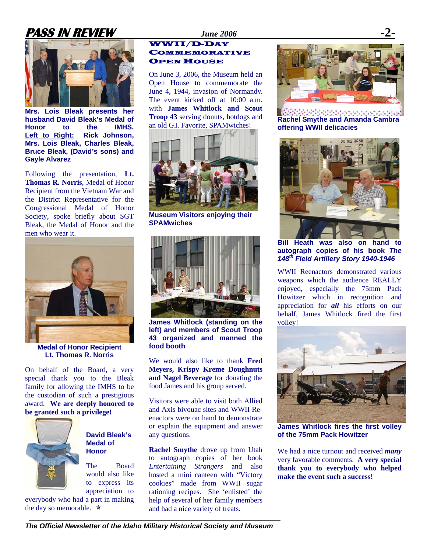# **PASS IN REVIEW** *June 2006*



**Mrs. Lois Bleak presents her husband David Bleak's Medal of Honor to the IMHS. Left to Right: Rick Johnson, Mrs. Lois Bleak, Charles Bleak, Bruce Bleak, (David's sons) and Gayle Alvarez** 

Following the presentation, **Lt. Thomas R. Norris**, Medal of Honor Recipient from the Vietnam War and the District Representative for the Congressional Medal of Honor Society, spoke briefly about SGT Bleak, the Medal of Honor and the men who wear it.



**Medal of Honor Recipient Lt. Thomas R. Norris** 

On behalf of the Board, a very special thank you to the Bleak family for allowing the IMHS to be the custodian of such a prestigious award. **We are deeply honored to be granted such a privilege!** 



### **David Bleak's Medal of Honor**

The Board would also like to express its appreciation to

everybody who had a part in making the day so memorable.  $\star$ 

### WWII/D-DAY **COMMEMORATIVE OPEN HOUSE**

On June 3, 2006, the Museum held an Open House to commemorate the June 4, 1944, invasion of Normandy. The event kicked off at 10:00 a.m. with **James Whitlock and Scout Troop 43** serving donuts, hotdogs and an old G.I. Favorite, SPAMwiches!



**Museum Visitors enjoying their SPAMwiches** 



**James Whitlock (standing on the left) and members of Scout Troop 43 organized and manned the food booth** 

We would also like to thank **Fred Meyers, Krispy Kreme Doughnuts and Nagel Beverage** for donating the food James and his group served.

Visitors were able to visit both Allied and Axis bivouac sites and WWII Reenactors were on hand to demonstrate or explain the equipment and answer any questions.

**Rachel Smythe** drove up from Utah to autograph copies of her book *Entertaining Strangers* and also hosted a mini canteen with "Victory cookies" made from WWII sugar rationing recipes. She 'enlisted' the help of several of her family members and had a nice variety of treats.



**Rachel Smythe and Amanda Cambra offering WWII delicacies** 



**Bill Heath was also on hand to autograph copies of his book** *The 148th Field Artillery Story 1940-1946*

WWII Reenactors demonstrated various weapons which the audience REALLY enjoyed, especially the 75mm Pack Howitzer which in recognition and appreciation for *all* his efforts on our behalf, James Whitlock fired the first volley!



**James Whitlock fires the first volley of the 75mm Pack Howitzer** 

We had a nice turnout and received *many* very favorable comments. **A very special thank you to everybody who helped make the event such a success!**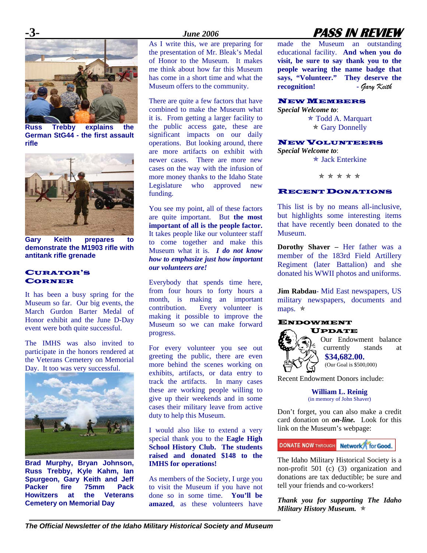

**Russ Trebby explains the German StG44 - the first assault rifle** 



**Gary Keith prepares to demonstrate the M1903 rifle with antitank rifle grenade** 

### CURATOR'S CORNER

It has been a busy spring for the Museum so far. Our big events, the March Gurdon Barter Medal of Honor exhibit and the June D-Day event were both quite successful.

The IMHS was also invited to participate in the honors rendered at the Veterans Cemetery on Memorial Day. It too was very successful.



**Brad Murphy, Bryan Johnson, Russ Trebby, Kyle Kahm, Ian Spurgeon, Gary Keith and Jeff Packer fire 75mm Pack Howitzers** at **Cemetery on Memorial Day** 

As I write this, we are preparing for the presentation of Mr. Bleak's Medal of Honor to the Museum. It makes me think about how far this Museum has come in a short time and what the Museum offers to the community.

There are quite a few factors that have combined to make the Museum what it is. From getting a larger facility to the public access gate, these are significant impacts on our daily operations. But looking around, there are more artifacts on exhibit with newer cases. There are more new cases on the way with the infusion of more money thanks to the Idaho State Legislature who approved new funding.

You see my point, all of these factors are quite important. But **the most important of all is the people factor.**  It takes people like our volunteer staff to come together and make this Museum what it is. *I do not know how to emphasize just how important our volunteers are!* 

Everybody that spends time here, from four hours to forty hours a month, is making an important contribution. Every volunteer is making it possible to improve the Museum so we can make forward progress.

For every volunteer you see out greeting the public, there are even more behind the scenes working on exhibits, artifacts, or data entry to track the artifacts. In many cases these are working people willing to give up their weekends and in some cases their military leave from active duty to help this Museum.

I would also like to extend a very special thank you to the **Eagle High School History Club. The students raised and donated \$148 to the IMHS for operations!** 

As members of the Society, I urge you to visit the Museum if you have not done so in some time. **You'll be amazed**, as these volunteers have

# **-3-** *June 2006* **PASS IN REVIEW**

made the Museum an outstanding educational facility. **And when you do visit, be sure to say thank you to the people wearing the name badge that says, "Volunteer." They deserve the recognition! -** *Gary Keith* 

### NEW MEMBERS

*Special Welcome to*:

 $\ast$  Todd A. Marquart  $\star$  Gary Donnelly

### NEW VOLUNTEERS

*Special Welcome to*:  $\star$  Jack Enterkine

\* \* \* \* \*

### RECENT DONATIONS

This list is by no means all-inclusive, but highlights some interesting items that have recently been donated to the Museum.

**Dorothy Shaver –** Her father was a member of the 183rd Field Artillery Regiment (later Battalion) and she donated his WWII photos and uniforms.

**Jim Rabdau**- Mid East newspapers, US military newspapers, documents and maps.  $\star$ 

#### ENDOWMENT UPDATE



Our Endowment balance currently stands at **\$34,682.00.** (Our Goal is \$500,000)

Recent Endowment Donors include:

**William L. Reinig**  (in memory of John Shaver)

Don't forget, you can also make a credit card donation on *on-line.* Look for this link on the Museum's webpage:

**DONATE NOW THROUGH Network** for Good.

The Idaho Military Historical Society is a non-profit 501 (c) (3) organization and donations are tax deductible; be sure and tell your friends and co-workers!

*Thank you for supporting The Idaho Military History Museum.*  $\star$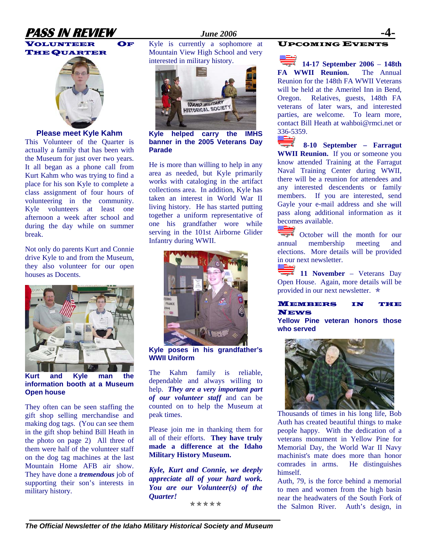# **PASS IN REVIEW** *June 2006* **-4-**



VOLUNTEER OF THE QUARTER



### **Please meet Kyle Kahm**

This Volunteer of the Quarter is actually a family that has been with the Museum for just over two years. It all began as a phone call from Kurt Kahm who was trying to find a place for his son Kyle to complete a class assignment of four hours of volunteering in the community. Kyle volunteers at least one afternoon a week after school and during the day while on summer break.

Not only do parents Kurt and Connie drive Kyle to and from the Museum, they also volunteer for our open houses as Docents.



**Kurt and Kyle man the information booth at a Museum Open house** 

They often can be seen staffing the gift shop selling merchandise and making dog tags. (You can see them in the gift shop behind Bill Heath in the photo on page 2) All three of them were half of the volunteer staff on the dog tag machines at the last Mountain Home AFB air show. They have done a *tremendous* job of supporting their son's interests in military history.

Kyle is currently a sophomore at Mountain View High School and very interested in military history.



**Kyle helped carry the IMHS banner in the 2005 Veterans Day Parade** 

He is more than willing to help in any area as needed, but Kyle primarily works with cataloging in the artifact collections area. In addition, Kyle has taken an interest in World War II living history. He has started putting together a uniform representative of one his grandfather wore while serving in the 101st Airborne Glider Infantry during WWII.



**Kyle poses in his grandfather's WWII Uniform**

The Kahm family is reliable, dependable and always willing to help. *They are a very important part of our volunteer staff* and can be counted on to help the Museum at peak times.

Please join me in thanking them for all of their efforts. **They have truly made a difference at the Idaho Military History Museum.** 

*Kyle, Kurt and Connie, we deeply appreciate all of your hard work. You are our Volunteer(s) of the Quarter!* 

\*\*\*\*\*

#### UPCOMING EVENTS

**14-17 September 2006** – **148th FA WWII Reunion.** The Annual Reunion for the 148th FA WWII Veterans will be held at the Ameritel Inn in Bend. Oregon. Relatives, guests, 148th FA veterans of later wars, and interested parties, are welcome. To learn more, contact Bill Heath at [wahboi@rmci.net](mailto:wahboi@rmci.net) or  $\frac{336-5359}{8}$ 

 **8-10 September – Farragut WWII Reunion.** If you or someone you know attended Training at the Farragut Naval Training Center during WWII, there will be a reunion for attendees and any interested descendents or family members. If you are interested, send Gayle your e-mail address and she will pass along additional information as it becomes available.

October will the month for our annual membership meeting and elections. More details will be provided in our next newsletter.

**11 November – Veterans Day** Open House. Again, more details will be provided in our next newsletter.  $\star$ 

#### MEMBERS IN THE **NEWS Yellow Pine veteran honors those**

**who served** 



Thousands of times in his long life, Bob Auth has created beautiful things to make people happy. With the dedication of a veterans monument in Yellow Pine for Memorial Day, the World War II Navy machinist's mate does more than honor comrades in arms. He distinguishes himself.

Auth, 79, is the force behind a memorial to men and women from the high basin near the headwaters of the South Fork of the Salmon River. Auth's design, in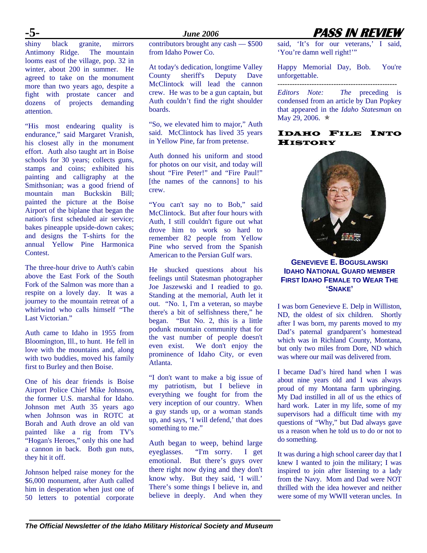shiny black granite, mirrors Antimony Ridge. The mountain looms east of the village, pop. 32 in winter, about 200 in summer. He agreed to take on the monument more than two years ago, despite a fight with prostate cancer and dozens of projects demanding attention.

"His most endearing quality is endurance," said Margaret Vranish, his closest ally in the monument effort. Auth also taught art in Boise schools for 30 years; collects guns, stamps and coins; exhibited his painting and calligraphy at the Smithsonian; was a good friend of mountain man Buckskin Bill; painted the picture at the Boise Airport of the biplane that began the nation's first scheduled air service; bakes pineapple upside-down cakes; and designs the T-shirts for the annual Yellow Pine Harmonica **Contest.** 

The three-hour drive to Auth's cabin above the East Fork of the South Fork of the Salmon was more than a respite on a lovely day. It was a journey to the mountain retreat of a whirlwind who calls himself "The Last Victorian."

Auth came to Idaho in 1955 from Bloomington, Ill., to hunt. He fell in love with the mountains and, along with two buddies, moved his family first to Burley and then Boise.

One of his dear friends is Boise Airport Police Chief Mike Johnson, the former U.S. marshal for Idaho. Johnson met Auth 35 years ago when Johnson was in ROTC at Borah and Auth drove an old van painted like a rig from TV's "Hogan's Heroes," only this one had a cannon in back. Both gun nuts, they hit it off.

Johnson helped raise money for the \$6,000 monument, after Auth called him in desperation when just one of 50 letters to potential corporate

### **-5-** *June 2006* **PASS IN REVIEW**

contributors brought any cash — \$500 from Idaho Power Co.

At today's dedication, longtime Valley County sheriff's Deputy Dave McClintock will lead the cannon crew. He was to be a gun captain, but Auth couldn't find the right shoulder boards.

"So, we elevated him to major," Auth said. McClintock has lived 35 years in Yellow Pine, far from pretense.

Auth donned his uniform and stood for photos on our visit, and today will shout "Fire Peter!" and "Fire Paul!" [the names of the cannons] to his crew.

"You can't say no to Bob," said McClintock. But after four hours with Auth, I still couldn't figure out what drove him to work so hard to remember 82 people from Yellow Pine who served from the Spanish American to the Persian Gulf wars.

He shucked questions about his feelings until Statesman photographer Joe Jaszewski and I readied to go. Standing at the memorial, Auth let it out. "No. 1, I'm a veteran, so maybe there's a bit of selfishness there," he began. "But No. 2, this is a little podunk mountain community that for the vast number of people doesn't even exist. We don't enjoy the prominence of Idaho City, or even Atlanta.

"I don't want to make a big issue of my patriotism, but I believe in everything we fought for from the very inception of our country. When a guy stands up, or a woman stands up, and says, 'I will defend,' that does something to me."

Auth began to weep, behind large eyeglasses. "I'm sorry. I get emotional. But there's guys over there right now dying and they don't know why. But they said, 'I will.' There's some things I believe in, and believe in deeply. And when they said, 'It's for our veterans,' I said, 'You're damn well right!'"

Happy Memorial Day, Bob. You're unforgettable.

*-------------------------------------------------* 

*Editors Note: The* preceding is condensed from an article by Dan Popkey that appeared in the *Idaho Statesman* on May 29, 2006.  $\star$ 

### IDAHO FILE INTO **HISTORY**



### **GENEVIEVE E. BOGUSLAWSKI IDAHO NATIONAL GUARD MEMBER FIRST IDAHO FEMALE TO WEAR THE 'SNAKE'**

I was born Genevieve E. Delp in Williston, ND, the oldest of six children. Shortly after I was born, my parents moved to my Dad's paternal grandparent's homestead which was in Richland County, Montana, but only two miles from Dore, ND which was where our mail was delivered from.

I became Dad's hired hand when I was about nine years old and I was always proud of my Montana farm upbringing. My Dad instilled in all of us the ethics of hard work. Later in my life, some of my supervisors had a difficult time with my questions of "Why," but Dad always gave us a reason when he told us to do or not to do something.

It was during a high school career day that I knew I wanted to join the military; I was inspired to join after listening to a lady from the Navy. Mom and Dad were NOT thrilled with the idea however and neither were some of my WWII veteran uncles. In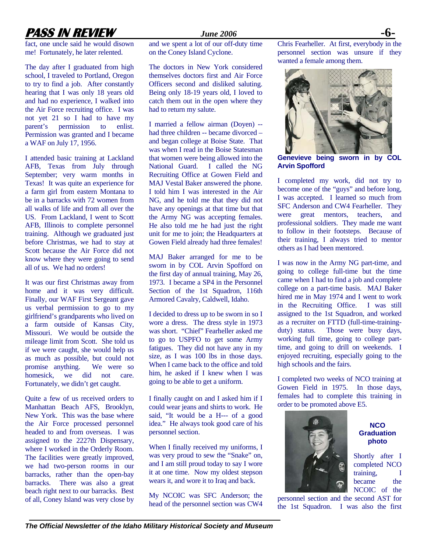# **PASS IN REVIEW** *June 2006* **-6-**

fact, one uncle said he would disown me! Fortunately, he later relented.

The day after I graduated from high school, I traveled to Portland, Oregon to try to find a job. After constantly hearing that I was only 18 years old and had no experience, I walked into the Air Force recruiting office. I was not yet 21 so I had to have my parent's permission to enlist. Permission was granted and I became a WAF on July 17, 1956.

I attended basic training at Lackland AFB, Texas from July through September; very warm months in Texas! It was quite an experience for a farm girl from eastern Montana to be in a barracks with 72 women from all walks of life and from all over the US. From Lackland, I went to Scott AFB, Illinois to complete personnel training. Although we graduated just before Christmas, we had to stay at Scott because the Air Force did not know where they were going to send all of us. We had no orders!

It was our first Christmas away from home and it was very difficult. Finally, our WAF First Sergeant gave us verbal permission to go to my girlfriend's grandparents who lived on a farm outside of Kansas City, Missouri. We would be outside the mileage limit from Scott. She told us if we were caught, she would help us as much as possible, but could not promise anything. We were so homesick, we did not care. Fortunately, we didn't get caught.

Quite a few of us received orders to Manhattan Beach AFS, Brooklyn, New York. This was the base where the Air Force processed personnel headed to and from overseas. I was assigned to the 2227th Dispensary, where I worked in the Orderly Room. The facilities were greatly improved, we had two-person rooms in our barracks, rather than the open-bay barracks. There was also a great beach right next to our barracks. Best of all, Coney Island was very close by

and we spent a lot of our off-duty time on the Coney Island Cyclone.

The doctors in New York considered themselves doctors first and Air Force Officers second and disliked saluting. Being only 18-19 years old, I loved to catch them out in the open where they had to return my salute.

I married a fellow airman (Doyen) - had three children -- became divorced – and began college at Boise State. That was when I read in the Boise Statesman that women were being allowed into the National Guard. I called the NG Recruiting Office at Gowen Field and MAJ Vestal Baker answered the phone. I told him I was interested in the Air NG, and he told me that they did not have any openings at that time but that the Army NG was accepting females. He also told me he had just the right unit for me to join; the Headquarters at Gowen Field already had three females!

MAJ Baker arranged for me to be sworn in by COL Arvin Spofford on the first day of annual training, May 26, 1973. I became a SP4 in the Personnel Section of the 1st Squadron, 116th Armored Cavalry, Caldwell, Idaho.

I decided to dress up to be sworn in so I wore a dress. The dress style in 1973 was short. "Chief" Fearheller asked me to go to USPFO to get some Army fatigues. They did not have any in my size, as I was 100 lbs in those days. When I came back to the office and told him, he asked if I knew when I was going to be able to get a uniform.

I finally caught on and I asked him if I could wear jeans and shirts to work. He said, "It would be a H--- of a good idea." He always took good care of his personnel section.

When I finally received my uniforms, I was very proud to sew the "Snake" on, and I am still proud today to say I wore it at one time. Now my oldest stepson wears it, and wore it to Iraq and back.

My NCOIC was SFC Anderson; the head of the personnel section was CW4 Chris Fearheller. At first, everybody in the personnel section was unsure if they wanted a female among them.



**Genevieve being sworn in by COL Arvin Spofford** 

I completed my work, did not try to become one of the "guys" and before long, I was accepted. I learned so much from SFC Anderson and CW4 Fearheller. They were great mentors, teachers, and professional soldiers. They made me want to follow in their footsteps. Because of their training, I always tried to mentor others as I had been mentored.

I was now in the Army NG part-time, and going to college full-time but the time came when I had to find a job and complete college on a part-time basis. MAJ Baker hired me in May 1974 and I went to work in the Recruiting Office. I was still assigned to the 1st Squadron, and worked as a recruiter on FTTD (full-time-trainingduty) status. Those were busy days, working full time, going to college parttime, and going to drill on weekends. I enjoyed recruiting, especially going to the high schools and the fairs.

I completed two weeks of NCO training at Gowen Field in 1975. In those days, females had to complete this training in order to be promoted above E5.



### **NCO Graduation photo**

Shortly after I completed NCO training, I became the NCOIC of the

personnel section and the second AST for the 1st Squadron. I was also the first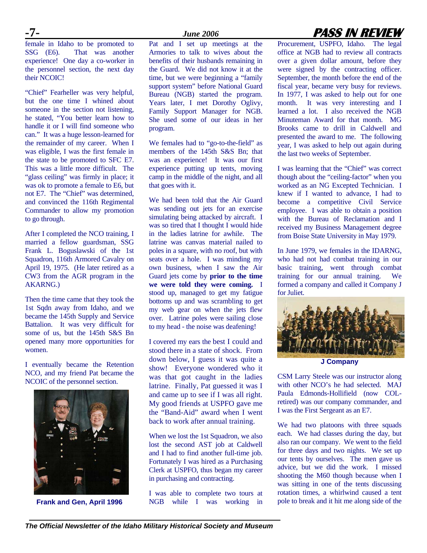female in Idaho to be promoted to SSG (E6). That was another experience! One day a co-worker in the personnel section, the next day their NCOIC!

"Chief" Fearheller was very helpful, but the one time I whined about someone in the section not listening, he stated, "You better learn how to handle it or I will find someone who can." It was a huge lesson-learned for the remainder of my career. When I was eligible, I was the first female in the state to be promoted to SFC E7. This was a little more difficult. The "glass ceiling" was firmly in place; it was ok to promote a female to E6, but not E7. The "Chief" was determined, and convinced the 116th Regimental Commander to allow my promotion to go through.

After I completed the NCO training, I married a fellow guardsman, SSG Frank L. Boguslawski of the 1st Squadron, 116th Armored Cavalry on April 19, 1975. (He later retired as a CW3 from the AGR program in the AKARNG.)

Then the time came that they took the 1st Sqdn away from Idaho, and we became the 145th Supply and Service Battalion. It was very difficult for some of us, but the 145th S&S Bn opened many more opportunities for women.

I eventually became the Retention NCO, and my friend Pat became the NCOIC of the personnel section.



**Frank and Gen, April 1996** 

Pat and I set up meetings at the Armories to talk to wives about the benefits of their husbands remaining in the Guard. We did not know it at the time, but we were beginning a "family support system" before National Guard Bureau (NGB) started the program. Years later, I met Dorothy Oglivy, Family Support Manager for NGB. She used some of our ideas in her program.

We females had to "go-to-the-field" as members of the 145th S&S Bn; that was an experience! It was our first experience putting up tents, moving camp in the middle of the night, and all that goes with it.

We had been told that the Air Guard was sending out jets for an exercise simulating being attacked by aircraft. I was so tired that I thought I would hide in the ladies latrine for awhile. The latrine was canvas material nailed to poles in a square, with no roof, but with seats over a hole. I was minding my own business, when I saw the Air Guard jets come by **prior to the time we were told they were coming.** I stood up, managed to get my fatigue bottoms up and was scrambling to get my web gear on when the jets flew over. Latrine poles were sailing close to my head - the noise was deafening!

I covered my ears the best I could and stood there in a state of shock. From down below, I guess it was quite a show! Everyone wondered who it was that got caught in the ladies latrine. Finally, Pat guessed it was I and came up to see if I was all right. My good friends at USPFO gave me the "Band-Aid" award when I went back to work after annual training.

When we lost the 1st Squadron, we also lost the second AST job at Caldwell and I had to find another full-time job. Fortunately I was hired as a Purchasing Clerk at USPFO, thus began my career in purchasing and contracting.

I was able to complete two tours at NGB while I was working in

# **-7-** *June 2006* **PASS IN REVIEW**

Procurement, USPFO, Idaho. The legal office at NGB had to review all contracts over a given dollar amount, before they were signed by the contracting officer. September, the month before the end of the fiscal year, became very busy for reviews. In 1977, I was asked to help out for one month. It was very interesting and I learned a lot. I also received the NGB Minuteman Award for that month. MG Brooks came to drill in Caldwell and presented the award to me. The following year, I was asked to help out again during the last two weeks of September.

I was learning that the "Chief" was correct though about the "ceiling-factor" when you worked as an NG Excepted Technician. I knew if I wanted to advance, I had to become a competitive Civil Service employee. I was able to obtain a position with the Bureau of Reclamation and I received my Business Management degree from Boise State University in May 1979.

In June 1979, we females in the IDARNG, who had not had combat training in our basic training, went through combat training for our annual training. We formed a company and called it Company J for Juliet.



**J Company** 

CSM Larry Steele was our instructor along with other NCO's he had selected. MAJ Paula Edmonds-Hollifield (now COLretired) was our company commander, and I was the First Sergeant as an E7.

We had two platoons with three squads each. We had classes during the day, but also ran our company. We went to the field for three days and two nights. We set up our tents by ourselves. The men gave us advice, but we did the work. I missed shooting the M60 though because when I was sitting in one of the tents discussing rotation times, a whirlwind caused a tent pole to break and it hit me along side of the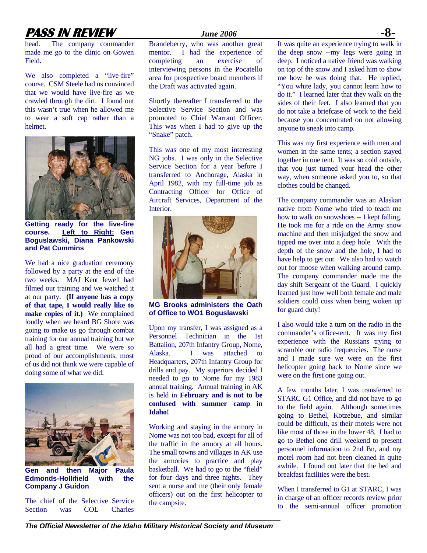# **PASS IN REVIEW** *June 2006* **-8-**

head. The company commander made me go to the clinic on Gowen Field.

We also completed a "live-fire" course. CSM Steele had us convinced that we would have live-fire as we crawled through the dirt. I found out this wasn't true when he allowed me to wear a soft cap rather than a helmet.



**Getting ready for the live-fire course. Left to Right: Gen Boguslawski, Diana Pankowski and Pat Cummins** 

We had a nice graduation ceremony followed by a party at the end of the two weeks. MAJ Kent Jewell had filmed our training and we watched it at our party. **(If anyone has a copy of that tape, I would really like to make copies of it.)** We complained loudly when we heard BG Shore was going to make us go through combat training for our annual training but we all had a great time. We were so proud of our accomplishments; most of us did not think we were capable of doing some of what we did.



**Gen and then Major Paula Edmonds-Hollifield with the Company J Guidon** 

The chief of the Selective Service Section was COL Charles

Brandeberry, who was another great mentor. I had the experience of completing an exercise of interviewing persons in the Pocatello area for prospective board members if the Draft was activated again.

Shortly thereafter I transferred to the Selective Service Section and was promoted to Chief Warrant Officer. This was when I had to give up the "Snake" patch.

This was one of my most interesting NG jobs. I was only in the Selective Service Section for a year before I transferred to Anchorage, Alaska in April 1982, with my full-time job as Contracting Officer for Office of Aircraft Services, Department of the Interior.



**MG Brooks administers the Oath of Office to WO1 Boguslawski** 

Upon my transfer, I was assigned as a Personnel Technician in the 1st Battalion, 207th Infantry Group, Nome, Alaska. I was attached to Headquarters, 207th Infantry Group for drills and pay. My superiors decided I needed to go to Nome for my 1983 annual training. Annual training in AK is held in **February and is not to be confused with summer camp in Idaho!** 

Working and staying in the armory in Nome was not too bad, except for all of the traffic in the armory at all hours. The small towns and villages in AK use the armories to practice and play basketball. We had to go to the "field" for four days and three nights. They sent a nurse and me (their only female officers) out on the first helicopter to the campsite.

It was quite an experience trying to walk in the deep snow --my legs were going in deep. I noticed a native friend was walking on top of the snow and I asked him to show me how he was doing that. He replied, "You white lady, you cannot learn how to do it." I learned later that they walk on the sides of their feet. I also learned that you do not take a briefcase of work to the field because you concentrated on not allowing anyone to sneak into camp.

This was my first experience with men and women in the same tents; a section stayed together in one tent. It was so cold outside, that you just turned your head the other way, when someone asked you to, so that clothes could be changed.

The company commander was an Alaskan native from Nome who tried to teach me how to walk on snowshoes -- I kept falling. He took me for a ride on the Army snow machine and then misjudged the snow and tipped me over into a deep hole. With the depth of the snow and the hole, I had to have help to get out. We also had to watch out for moose when walking around camp. The company commander made me the day shift Sergeant of the Guard. I quickly learned just how well both female and male soldiers could cuss when being woken up for guard duty!

I also would take a turn on the radio in the commander's office-tent. It was my first experience with the Russians trying to scramble our radio frequencies. The nurse and I made sure we were on the first helicopter going back to Nome since we were on the first one going out.

A few months later, I was transferred to STARC G1 Office, and did not have to go to the field again. Although sometimes going to Bethel, Kotzebue, and similar could be difficult, as their motels were not like most of those in the lower 48. I had to go to Bethel one drill weekend to present personnel information to 2nd Bn, and my motel room had not been cleaned in quite awhile. I found out later that the bed and breakfast facilities were the best.

When I transferred to G1 at STARC, I was in charge of an officer records review prior to the semi-annual officer promotion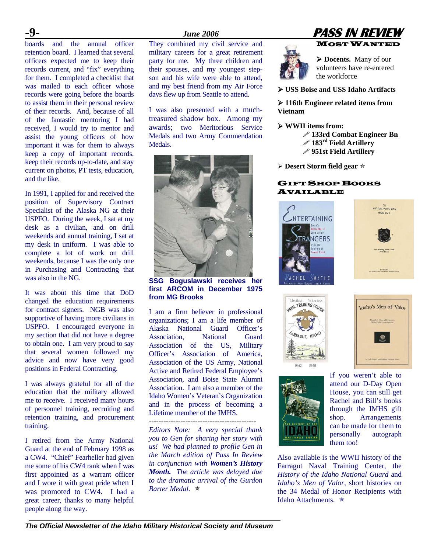boards and the annual officer retention board. I learned that several officers expected me to keep their records current, and "fix" everything for them. I completed a checklist that was mailed to each officer whose records were going before the boards to assist them in their personal review of their records. And, because of all of the fantastic mentoring I had received, I would try to mentor and assist the young officers of how important it was for them to always keep a copy of important records, keep their records up-to-date, and stay current on photos, PT tests, education, and the like.

In 1991, I applied for and received the position of Supervisory Contract Specialist of the Alaska NG at their USPFO. During the week, I sat at my desk as a civilian, and on drill weekends and annual training, I sat at my desk in uniform. I was able to complete a lot of work on drill weekends, because I was the only one in Purchasing and Contracting that was also in the NG.

It was about this time that DoD changed the education requirements for contract signers. NGB was also supportive of having more civilians in USPFO. I encouraged everyone in my section that did not have a degree to obtain one. I am very proud to say that several women followed my advice and now have very good positions in Federal Contracting.

I was always grateful for all of the education that the military allowed me to receive. I received many hours of personnel training, recruiting and retention training, and procurement training.

I retired from the Army National Guard at the end of February 1998 as a CW4. "Chief" Fearheller had given me some of his CW4 rank when I was first appointed as a warrant officer and I wore it with great pride when I was promoted to CW4. I had a great career, thanks to many helpful people along the way.

They combined my civil service and military careers for a great retirement party for me. My three children and their spouses, and my youngest stepson and his wife were able to attend, and my best friend from my Air Force days flew up from Seattle to attend.

I was also presented with a muchtreasured shadow box. Among my awards; two Meritorious Service Medals and two Army Commendation Medals.



**SSG Boguslawski receives her first ARCOM in December 1975 from MG Brooks** 

I am a firm believer in professional organizations; I am a life member of Alaska National Guard Officer's Association, National Guard Association of the US, Military Officer's Association of America, Association of the US Army, National Active and Retired Federal Employee's Association, and Boise State Alumni Association. I am also a member of the Idaho Women's Veteran's Organization and in the process of becoming a Lifetime member of the IMHS.

*--------------------------------------------* 

*Editors Note: A very special thank you to Gen for sharing her story with us! We had planned to profile Gen in the March edition of Pass In Review in conjunction with Women's History Month. The article was delayed due to the dramatic arrival of the Gurdon Barter Medal.*  $\star$ 





¾ **Docents.** Many of our volunteers have re-entered the workforce

¾ **USS Boise and USS Idaho Artifacts** 

¾ **116th Engineer related items from Vietnam** 

- ¾ **WWII items from:** 
	- **133rd Combat Engineer Bn** 
		- **183rd Field Artillery**
		- **951st Field Artillery**
- **≻ Desert Storm field gear**  $*$

### GIFT SHOP BOOKS AVAILABLE









If you weren't able to attend our D-Day Open House, you can still get Rachel and Bill's books through the IMHS gift shop. Arrangements can be made for them to personally autograph them too!

Also available is the WWII history of the Farragut Naval Training Center, the *History of the Idaho National Guard* and *Idaho's Men of Valor*, short histories on the 34 Medal of Honor Recipients with Idaho Attachments.  $\star$